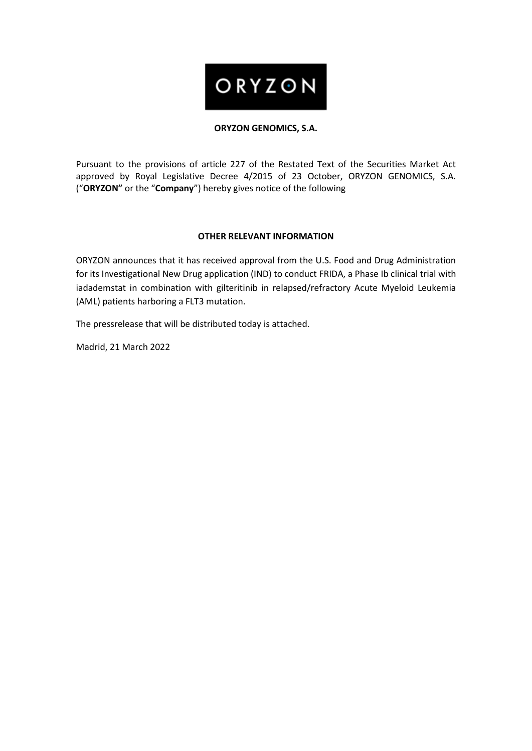# ORYZON

### **ORYZON GENOMICS, S.A.**

Pursuant to the provisions of article 227 of the Restated Text of the Securities Market Act approved by Royal Legislative Decree 4/2015 of 23 October, ORYZON GENOMICS, S.A. ("**ORYZON"** or the "**Company**") hereby gives notice of the following

### **OTHER RELEVANT INFORMATION**

ORYZON announces that it has received approval from the U.S. Food and Drug Administration for its Investigational New Drug application (IND) to conduct FRIDA, a Phase Ib clinical trial with iadademstat in combination with gilteritinib in relapsed/refractory Acute Myeloid Leukemia (AML) patients harboring a FLT3 mutation.

The pressrelease that will be distributed today is attached.

Madrid, 21 March 2022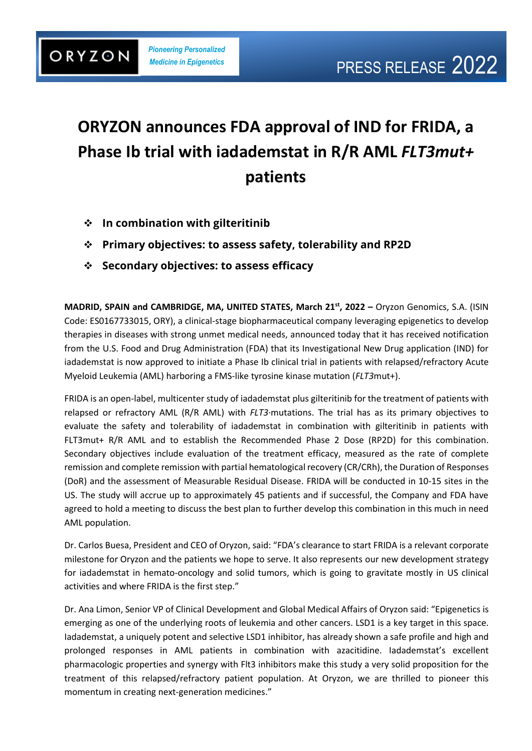## **ORYZON announces FDA approval of IND for FRIDA, a Phase Ib trial with iadademstat in R/R AML** *FLT3mut+*  **patients**

- ❖ **In combination with gilteritinib**
- ❖ **Primary objectives: to assess safety, tolerability and RP2D**
- ❖ **Secondary objectives: to assess efficacy**

**MADRID, SPAIN and CAMBRIDGE, MA, UNITED STATES, March 21st, 2022 –** Oryzon Genomics, S.A. (ISIN Code: ES0167733015, ORY), a clinical-stage biopharmaceutical company leveraging epigenetics to develop therapies in diseases with strong unmet medical needs, announced today that it has received notification from the U.S. Food and Drug Administration (FDA) that its Investigational New Drug application (IND) for iadademstat is now approved to initiate a Phase Ib clinical trial in patients with relapsed/refractory Acute Myeloid Leukemia (AML) harboring a FMS-like tyrosine kinase mutation (*FLT3*mut+).

FRIDA is an open-label, multicenter study of iadademstat plus gilteritinib for the treatment of patients with relapsed or refractory AML (R/R AML) with *FLT3*·mutations. The trial has as its primary objectives to evaluate the safety and tolerability of iadademstat in combination with gilteritinib in patients with FLT3mut+ R/R AML and to establish the Recommended Phase 2 Dose (RP2D) for this combination. Secondary objectives include evaluation of the treatment efficacy, measured as the rate of complete remission and complete remission with partial hematological recovery (CR/CRh), the Duration of Responses (DoR) and the assessment of Measurable Residual Disease. FRIDA will be conducted in 10-15 sites in the US. The study will accrue up to approximately 45 patients and if successful, the Company and FDA have agreed to hold a meeting to discuss the best plan to further develop this combination in this much in need AML population.

Dr. Carlos Buesa, President and CEO of Oryzon, said: "FDA's clearance to start FRIDA is a relevant corporate milestone for Oryzon and the patients we hope to serve. It also represents our new development strategy for iadademstat in hemato-oncology and solid tumors, which is going to gravitate mostly in US clinical activities and where FRIDA is the first step."

Dr. Ana Limon, Senior VP of Clinical Development and Global Medical Affairs of Oryzon said: "Epigenetics is emerging as one of the underlying roots of leukemia and other cancers. LSD1 is a key target in this space. Iadademstat, a uniquely potent and selective LSD1 inhibitor, has already shown a safe profile and high and prolonged responses in AML patients in combination with azacitidine. Iadademstat's excellent pharmacologic properties and synergy with Flt3 inhibitors make this study a very solid proposition for the treatment of this relapsed/refractory patient population. At Oryzon, we are thrilled to pioneer this momentum in creating next-generation medicines."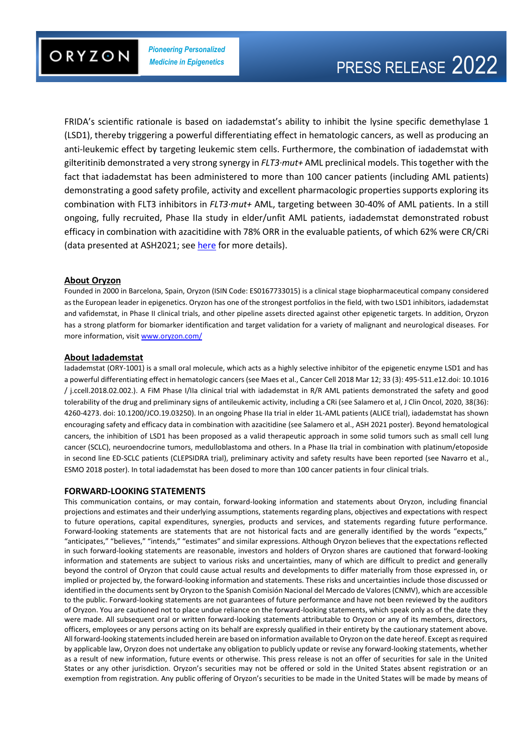

FRIDA's scientific rationale is based on iadademstat's ability to inhibit the lysine specific demethylase 1 (LSD1), thereby triggering a powerful differentiating effect in hematologic cancers, as well as producing an anti-leukemic effect by targeting leukemic stem cells. Furthermore, the combination of iadademstat with gilteritinib demonstrated a very strong synergy in *FLT3·mut+* AML preclinical models. This together with the fact that iadademstat has been administered to more than 100 cancer patients (including AML patients) demonstrating a good safety profile, activity and excellent pharmacologic properties supports exploring its combination with FLT3 inhibitors in *FLT3·mut+* AML, targeting between 30-40% of AML patients. In a still ongoing, fully recruited, Phase IIa study in elder/unfit AML patients, iadademstat demonstrated robust efficacy in combination with azacitidine with 78% ORR in the evaluable patients, of which 62% were CR/CRi (data presented at ASH2021; see [here](https://www.oryzon.com/en/news-events/news/oryzon-ash-2021-iadademstat-36-month-alice-data-demonstrate-robust-efficacy) for more details).

#### **About Oryzon**

Founded in 2000 in Barcelona, Spain, Oryzon (ISIN Code: ES0167733015) is a clinical stage biopharmaceutical company considered as the European leader in epigenetics. Oryzon has one of the strongest portfolios in the field, with two LSD1 inhibitors, iadademstat and vafidemstat, in Phase II clinical trials, and other pipeline assets directed against other epigenetic targets. In addition, Oryzon has a strong platform for biomarker identification and target validation for a variety of malignant and neurological diseases. For more information, visit [www.oryzon.com/](https://www.oryzon.com/)

#### **About Iadademstat**

Iadademstat (ORY-1001) is a small oral molecule, which acts as a highly selective inhibitor of the epigenetic enzyme LSD1 and has a powerful differentiating effect in hematologic cancers (see Maes et al., Cancer Cell 2018 Mar 12; 33 (3): 495-511.e12.doi: 10.1016 / j.ccell.2018.02.002.). A FiM Phase I/IIa clinical trial with iadademstat in R/R AML patients demonstrated the safety and good tolerability of the drug and preliminary signs of antileukemic activity, including a CRi (see Salamero et al, J Clin Oncol, 2020, 38(36): 4260-4273. doi: 10.1200/JCO.19.03250). In an ongoing Phase IIa trial in elder 1L-AML patients (ALICE trial), iadademstat has shown encouraging safety and efficacy data in combination with azacitidine (see Salamero et al., ASH 2021 poster). Beyond hematological cancers, the inhibition of LSD1 has been proposed as a valid therapeutic approach in some solid tumors such as small cell lung cancer (SCLC), neuroendocrine tumors, medulloblastoma and others. In a Phase IIa trial in combination with platinum/etoposide in second line ED-SCLC patients (CLEPSIDRA trial), preliminary activity and safety results have been reported (see Navarro et al., ESMO 2018 poster). In total iadademstat has been dosed to more than 100 cancer patients in four clinical trials.

#### **FORWARD-LOOKING STATEMENTS**

This communication contains, or may contain, forward-looking information and statements about Oryzon, including financial projections and estimates and their underlying assumptions, statements regarding plans, objectives and expectations with respect to future operations, capital expenditures, synergies, products and services, and statements regarding future performance. Forward-looking statements are statements that are not historical facts and are generally identified by the words "expects," "anticipates," "believes," "intends," "estimates" and similar expressions. Although Oryzon believes that the expectations reflected in such forward-looking statements are reasonable, investors and holders of Oryzon shares are cautioned that forward-looking information and statements are subject to various risks and uncertainties, many of which are difficult to predict and generally beyond the control of Oryzon that could cause actual results and developments to differ materially from those expressed in, or implied or projected by, the forward-looking information and statements. These risks and uncertainties include those discussed or identified in the documents sent by Oryzon to the Spanish Comisión Nacional del Mercado de Valores (CNMV), which are accessible to the public. Forward-looking statements are not guarantees of future performance and have not been reviewed by the auditors of Oryzon. You are cautioned not to place undue reliance on the forward-looking statements, which speak only as of the date they were made. All subsequent oral or written forward-looking statements attributable to Oryzon or any of its members, directors, officers, employees or any persons acting on its behalf are expressly qualified in their entirety by the cautionary statement above. All forward-looking statements included herein are based on information available to Oryzon on the date hereof. Except as required by applicable law, Oryzon does not undertake any obligation to publicly update or revise any forward‐looking statements, whether as a result of new information, future events or otherwise. This press release is not an offer of securities for sale in the United States or any other jurisdiction. Oryzon's securities may not be offered or sold in the United States absent registration or an exemption from registration. Any public offering of Oryzon's securities to be made in the United States will be made by means of